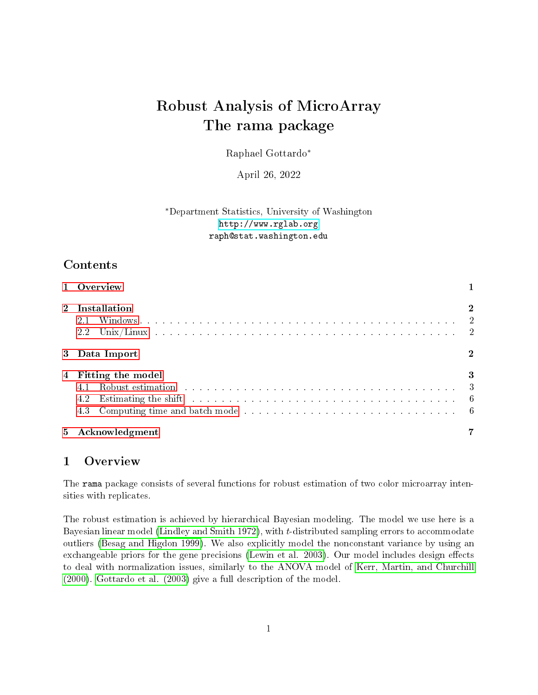# Robust Analysis of MicroArray The rama package

Raphael Gottardo<sup>∗</sup>

April 26, 2022

### <sup>∗</sup>Department Statistics, University of Washington <http://www.rglab.org> raph@stat.washington.edu

## Contents

|       | 1 Overview                                                                                                                                                                                                                                                                                                                                                                                                                            |          |
|-------|---------------------------------------------------------------------------------------------------------------------------------------------------------------------------------------------------------------------------------------------------------------------------------------------------------------------------------------------------------------------------------------------------------------------------------------|----------|
|       | 2 Installation<br>2.1<br>2.2                                                                                                                                                                                                                                                                                                                                                                                                          | $\bf{2}$ |
|       | 3 Data Import                                                                                                                                                                                                                                                                                                                                                                                                                         |          |
| 4     | Fitting the model<br>Robust estimation response to the contract of the contract of the contract of the Robust estimation response to the contract of the contract of the $\frac{3}{4}$<br>Estimating the shift resonance is a constrained in the same state of the state of the state of the state of the state of the state of the state of the state of the state of the state of the state of the state of the state<br>4.2<br>4.3 | 3        |
| $5 -$ | Acknowledgment                                                                                                                                                                                                                                                                                                                                                                                                                        |          |

## <span id="page-0-0"></span>1 Overview

The rama package consists of several functions for robust estimation of two color microarray intensities with replicates.

The robust estimation is achieved by hierarchical Bayesian modeling. The model we use here is a Bayesian linear model [\(Lindley and Smith 1972\)](#page-6-1), with t-distributed sampling errors to accommodate outliers [\(Besag and Higdon 1999\)](#page-6-2). We also explicitly model the nonconstant variance by using an exchangeable priors for the gene precisions [\(Lewin et al. 2003\)](#page-6-3). Our model includes design effects to deal with normalization issues, similarly to the ANOVA model of [Kerr, Martin, and Churchill](#page-6-4) [\(2000\)](#page-6-4). [Gottardo et al. \(2003\)](#page-6-5) give a full description of the model.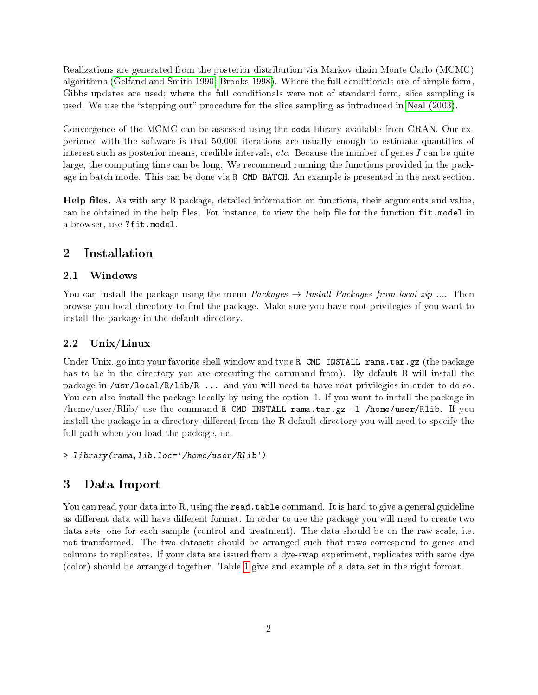Realizations are generated from the posterior distribution via Markov chain Monte Carlo (MCMC) algorithms [\(Gelfand and Smith 1990;](#page-6-6) [Brooks 1998\)](#page-6-7). Where the full conditionals are of simple form, Gibbs updates are used; where the full conditionals were not of standard form, slice sampling is used. We use the "stepping out" procedure for the slice sampling as introduced in [Neal \(2003\)](#page-6-8).

Convergence of the MCMC can be assessed using the coda library available from CRAN. Our experience with the software is that 50,000 iterations are usually enough to estimate quantities of interest such as posterior means, credible intervals, etc. Because the number of genes I can be quite large, the computing time can be long. We recommend running the functions provided in the package in batch mode. This can be done via R CMD BATCH. An example is presented in the next section.

Help files. As with any R package, detailed information on functions, their arguments and value, can be obtained in the help files. For instance, to view the help file for the function fit.model in a browser, use ?fit.model.

### <span id="page-1-0"></span>2 Installation

#### <span id="page-1-1"></span>2.1 Windows

You can install the package using the menu *Packages*  $\rightarrow$  *Install Packages from local zip* .... Then browse you local directory to find the package. Make sure you have root privilegies if you want to install the package in the default directory.

#### <span id="page-1-2"></span>2.2 Unix/Linux

Under Unix, go into your favorite shell window and type R CMD INSTALL rama.tar.gz (the package has to be in the directory you are executing the command from). By default R will install the package in /usr/local/R/lib/R ... and you will need to have root privilegies in order to do so. You can also install the package locally by using the option -l. If you want to install the package in /home/user/Rlib/ use the command R CMD INSTALL rama.tar.gz -l /home/user/Rlib. If you install the package in a directory different from the R default directory you will need to specify the full path when you load the package, i.e.

> library(rama,lib.loc='/home/user/Rlib')

## <span id="page-1-3"></span>3 Data Import

You can read your data into R, using the read.table command. It is hard to give a general guideline as different data will have different format. In order to use the package you will need to create two data sets, one for each sample (control and treatment). The data should be on the raw scale, i.e. not transformed. The two datasets should be arranged such that rows correspond to genes and columns to replicates. If your data are issued from a dye-swap experiment, replicates with same dye (color) should be arranged together. Table [1](#page-2-2) give and example of a data set in the right format.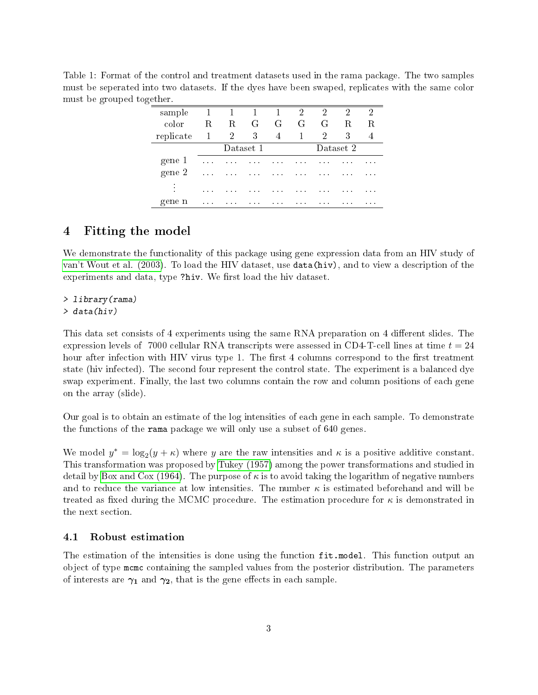<span id="page-2-2"></span>Table 1: Format of the control and treatment datasets used in the rama package. The two samples must be seperated into two datasets. If the dyes have been swaped, replicates with the same color must be grouped together.

| sample      | 1                                  |           | 1        | $\mathbf{1}$ | 2        | 2              | 2        | 2        |  |
|-------------|------------------------------------|-----------|----------|--------------|----------|----------------|----------|----------|--|
| color       | R                                  | R.        | G        | G +          | G        | G              | R.       | R.       |  |
| replicate   | 1                                  | 2         | 3        | 4            |          | $\overline{2}$ | 3        |          |  |
|             |                                    | Dataset 1 |          |              |          | Dataset 2      |          |          |  |
| gene 1      | $\mathbf{r}=\mathbf{r}+\mathbf{r}$ | $\cdots$  | $\cdots$ | $\cdots$     | .        | $\cdots$       | $\cdots$ | $\cdots$ |  |
| gene 2      | $\cdots$                           | $\cdots$  | $\cdots$ | .            | $\cdots$ | $\cdots$       | .        | $\cdots$ |  |
| ٠<br>٠<br>٠ |                                    | .         | .        | .            |          | .              | .        | .        |  |
| gene n      | $\cdots$                           | $\cdots$  | $\cdots$ | .            | $\cdots$ | $\cdots$       | .        | $\cdots$ |  |

## <span id="page-2-0"></span>4 Fitting the model

We demonstrate the functionality of this package using gene expression data from an HIV study of [van't Wout et al. \(2003\)](#page-7-0). To load the HIV dataset, use data(hiv), and to view a description of the experiments and data, type ?hiv. We first load the hiv dataset.

#### > library(rama)

> data(hiv)

This data set consists of 4 experiments using the same RNA preparation on 4 different slides. The expression levels of 7000 cellular RNA transcripts were assessed in CD4-T-cell lines at time  $t = 24$ hour after infection with HIV virus type 1. The first 4 columns correspond to the first treatment state (hiv infected). The second four represent the control state. The experiment is a balanced dye swap experiment. Finally, the last two columns contain the row and column positions of each gene on the array (slide).

Our goal is to obtain an estimate of the log intensities of each gene in each sample. To demonstrate the functions of the rama package we will only use a subset of 640 genes.

We model  $y^* = \log_2(y + \kappa)$  where y are the raw intensities and  $\kappa$  is a positive additive constant. This transformation was proposed by [Tukey \(1957\)](#page-6-9) among the power transformations and studied in detail by [Box and Cox \(1964\)](#page-6-10). The purpose of  $\kappa$  is to avoid taking the logarithm of negative numbers and to reduce the variance at low intensities. The number  $\kappa$  is estimated beforehand and will be treated as fixed during the MCMC procedure. The estimation procedure for  $\kappa$  is demonstrated in the next section.

#### <span id="page-2-1"></span>4.1 Robust estimation

The estimation of the intensities is done using the function  $fit$  model. This function output an object of type mcmc containing the sampled values from the posterior distribution. The parameters of interests are  $\gamma_1$  and  $\gamma_2$ , that is the gene effects in each sample.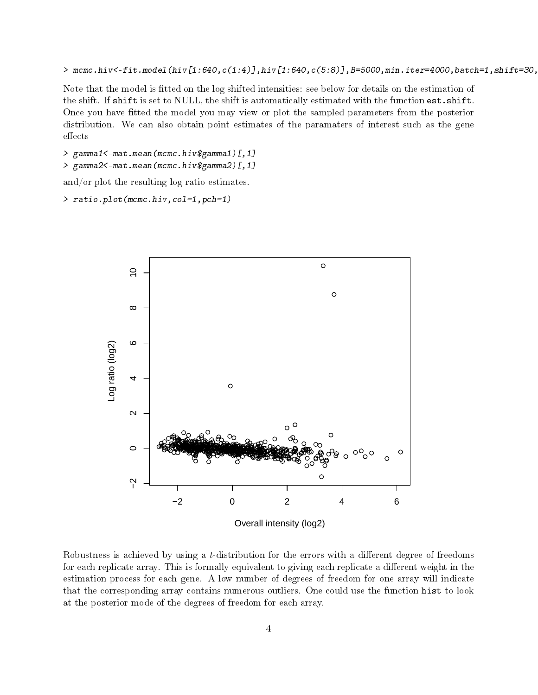$>$  mcmc.hiv<-fit.model(hiv[1:640,c(1:4)],hiv[1:640,c(5:8)],B=5000,min.iter=4000,batch=1,shift=30,

Note that the model is fitted on the log shifted intensities: see below for details on the estimation of the shift. If shift is set to NULL, the shift is automatically estimated with the function est.shift. Once you have tted the model you may view or plot the sampled parameters from the posterior distribution. We can also obtain point estimates of the paramaters of interest such as the gene effects

> gamma1<-mat.mean(mcmc.hiv\$gamma1)[,1] > gamma2<-mat.mean(mcmc.hiv\$gamma2)[,1]

and/or plot the resulting log ratio estimates.

> ratio.plot(mcmc.hiv,col=1,pch=1)



Robustness is achieved by using a  $t$ -distribution for the errors with a different degree of freedoms for each replicate array. This is formally equivalent to giving each replicate a different weight in the estimation process for each gene. A low number of degrees of freedom for one array will indicate that the corresponding array contains numerous outliers. One could use the function hist to look at the posterior mode of the degrees of freedom for each array.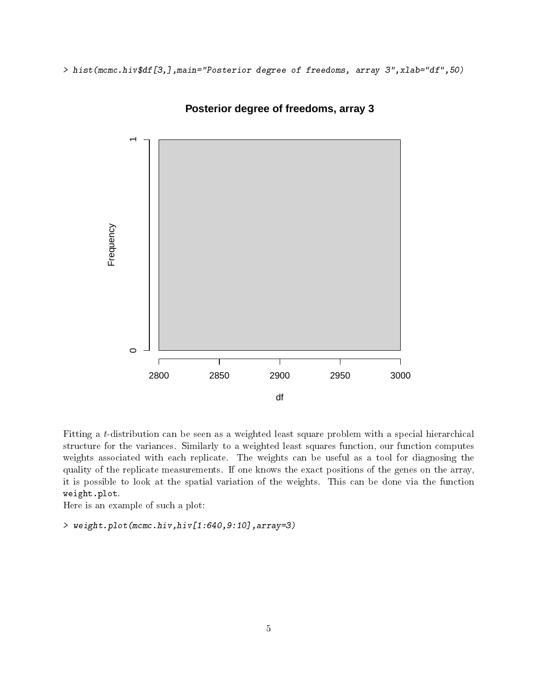> hist(mcmc.hiv\$df[3,],main="Posterior degree of freedoms, array 3",xlab="df",50)



**Posterior degree of freedoms, array 3**

Fitting a t-distribution can be seen as a weighted least square problem with a special hierarchical structure for the variances. Similarly to a weighted least squares function, our function computes weights associated with each replicate. The weights can be useful as a tool for diagnosing the quality of the replicate measurements. If one knows the exact positions of the genes on the array, it is possible to look at the spatial variation of the weights. This can be done via the function weight.plot.

Here is an example of such a plot:

> weight.plot(mcmc.hiv,hiv[1:640,9:10],array=3)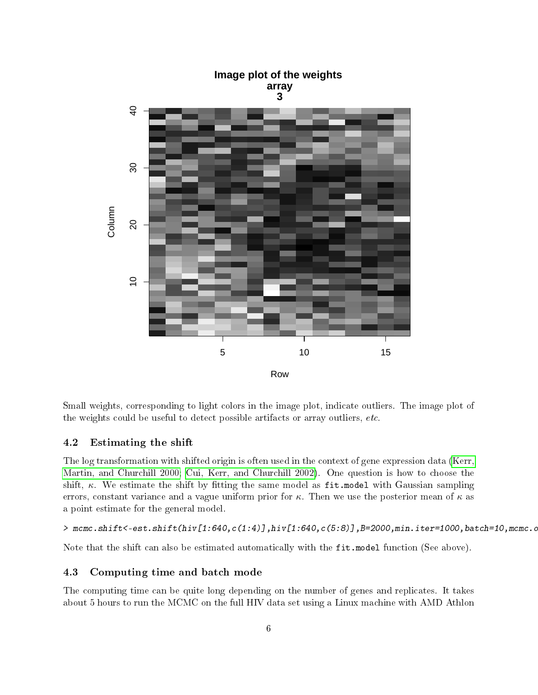

Small weights, corresponding to light colors in the image plot, indicate outliers. The image plot of the weights could be useful to detect possible artifacts or array outliers, etc.

#### <span id="page-5-0"></span>4.2 Estimating the shift

The log transformation with shifted origin is often used in the context of gene expression data [\(Kerr,](#page-6-4) [Martin, and Churchill 2000;](#page-6-4) [Cui, Kerr, and Churchill 2002\)](#page-6-11). One question is how to choose the shift,  $\kappa$ . We estimate the shift by fitting the same model as fit.model with Gaussian sampling errors, constant variance and a vague uniform prior for  $\kappa$ . Then we use the posterior mean of  $\kappa$  as a point estimate for the general model.

 $>$  mcmc.shift $\zeta$ -est.shift(hiv[1:640,c(1:4)],hiv[1:640,c(5:8)],B=2000,min.iter=1000,batch=10,mcmc.o

Note that the shift can also be estimated automatically with the fit.model function (See above).

#### <span id="page-5-1"></span>4.3 Computing time and batch mode

The computing time can be quite long depending on the number of genes and replicates. It takes about 5 hours to run the MCMC on the full HIV data set using a Linux machine with AMD Athlon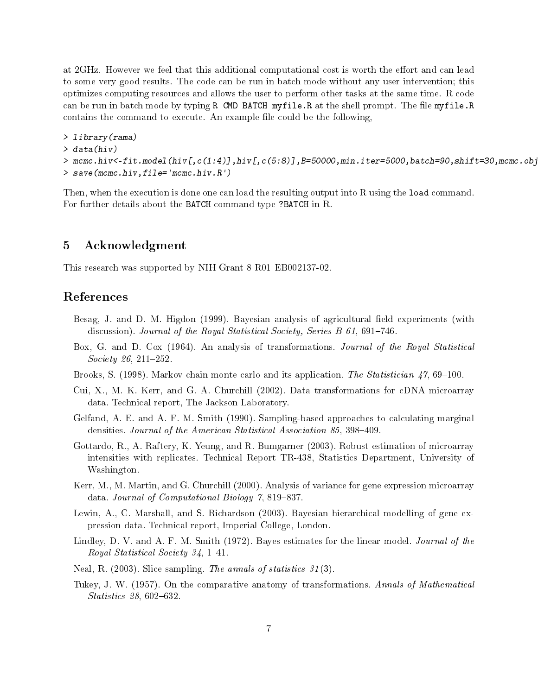at 2GHz. However we feel that this additional computational cost is worth the effort and can lead to some very good results. The code can be run in batch mode without any user intervention; this optimizes computing resources and allows the user to perform other tasks at the same time. R code can be run in batch mode by typing R CMD BATCH myfile.R at the shell prompt. The file myfile.R contains the command to execute. An example file could be the following,

```
> library(rama)
> data(hiv)
> mcmc.hiv<-fit.model(hiv[,c(1:4)],hiv[,c(5:8)],B=50000,min.iter=5000,batch=90,shift=30,mcmc.ob
> save(mcmc.hiv,file='mcmc.hiv.R')
```
Then, when the execution is done one can load the resulting output into R using the load command. For further details about the BATCH command type ?BATCH in R.

## <span id="page-6-0"></span>5 Acknowledgment

This research was supported by NIH Grant 8 R01 EB002137-02.

## References

- <span id="page-6-2"></span>Besag, J. and D. M. Higdon (1999). Bayesian analysis of agricultural field experiments (with discussion). Journal of the Royal Statistical Society, Series B  $61, 691-746$ .
- <span id="page-6-10"></span>Box, G. and D. Cox (1964). An analysis of transformations. Journal of the Royal Statistical Society 26, 211-252.
- <span id="page-6-7"></span>Brooks, S. (1998). Markov chain monte carlo and its application. The Statistician  $47,69-100$ .
- <span id="page-6-11"></span>Cui, X., M. K. Kerr, and G. A. Churchill (2002). Data transformations for cDNA microarray data. Technical report, The Jackson Laboratory.
- <span id="page-6-6"></span>Gelfand, A. E. and A. F. M. Smith (1990). Sampling-based approaches to calculating marginal densities. Journal of the American Statistical Association 85, 398-409.
- <span id="page-6-5"></span>Gottardo, R., A. Raftery, K. Yeung, and R. Bumgarner (2003). Robust estimation of microarray intensities with replicates. Technical Report TR-438, Statistics Department, University of Washington.
- <span id="page-6-4"></span>Kerr, M., M. Martin, and G. Churchill (2000). Analysis of variance for gene expression microarray data. Journal of Computational Biology  $\gamma$ , 819-837.
- <span id="page-6-3"></span>Lewin, A., C. Marshall, and S. Richardson (2003). Bayesian hierarchical modelling of gene expression data. Technical report, Imperial College, London.
- <span id="page-6-1"></span>Lindley, D. V. and A. F. M. Smith (1972). Bayes estimates for the linear model. Journal of the Royal Statistical Society  $34, 1-41$ .
- <span id="page-6-8"></span>Neal, R. (2003). Slice sampling. The annals of statistics 31 (3).
- <span id="page-6-9"></span>Tukey, J. W. (1957). On the comparative anatomy of transformations. Annals of Mathematical Statistics  $28,602-632$ .